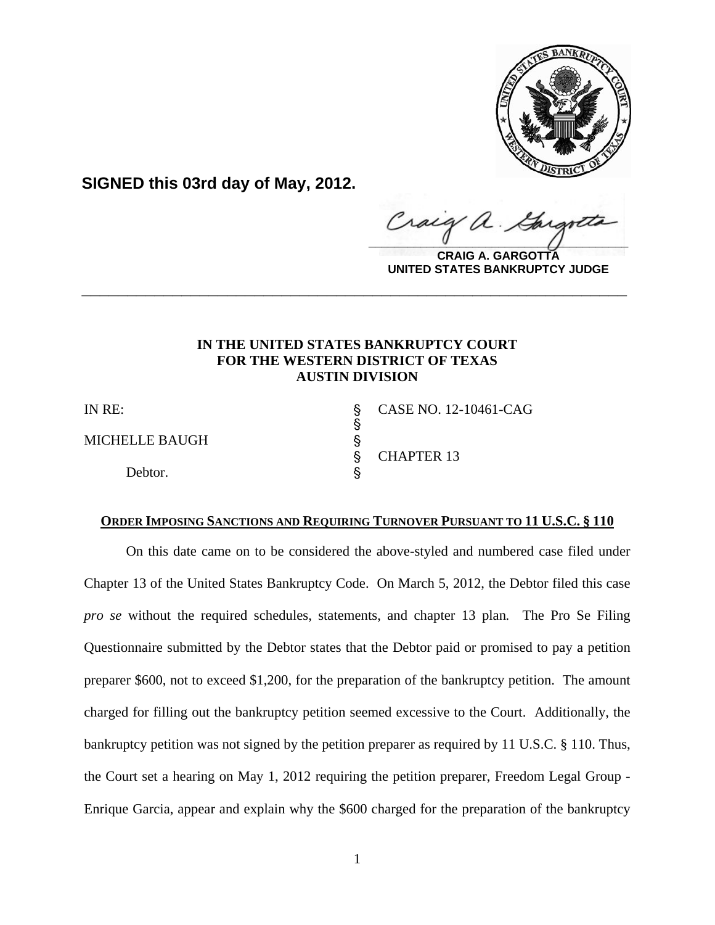

**SIGNED this 03rd day of May, 2012.**

Craig  $\frac{1}{2}$ 

**CRAIG A. GARGOTTA UNITED STATES BANKRUPTCY JUDGE**

## **IN THE UNITED STATES BANKRUPTCY COURT FOR THE WESTERN DISTRICT OF TEXAS AUSTIN DIVISION**

**\_\_\_\_\_\_\_\_\_\_\_\_\_\_\_\_\_\_\_\_\_\_\_\_\_\_\_\_\_\_\_\_\_\_\_\_\_\_\_\_\_\_\_\_\_\_\_\_\_\_\_\_\_\_\_\_\_\_\_\_**

 $\S$ 

MICHELLE BAUGH 
§

Debtor.

IN RE: \$ CASE NO. 12-10461-CAG ' CHAPTER 13

## **ORDER IMPOSING SANCTIONS AND REQUIRING TURNOVER PURSUANT TO 11 U.S.C. § 110**

On this date came on to be considered the above-styled and numbered case filed under Chapter 13 of the United States Bankruptcy Code. On March 5, 2012, the Debtor filed this case *pro se* without the required schedules, statements, and chapter 13 plan*.* The Pro Se Filing Questionnaire submitted by the Debtor states that the Debtor paid or promised to pay a petition preparer \$600, not to exceed \$1,200, for the preparation of the bankruptcy petition. The amount charged for filling out the bankruptcy petition seemed excessive to the Court. Additionally, the bankruptcy petition was not signed by the petition preparer as required by 11 U.S.C. § 110. Thus, the Court set a hearing on May 1, 2012 requiring the petition preparer, Freedom Legal Group - Enrique Garcia, appear and explain why the \$600 charged for the preparation of the bankruptcy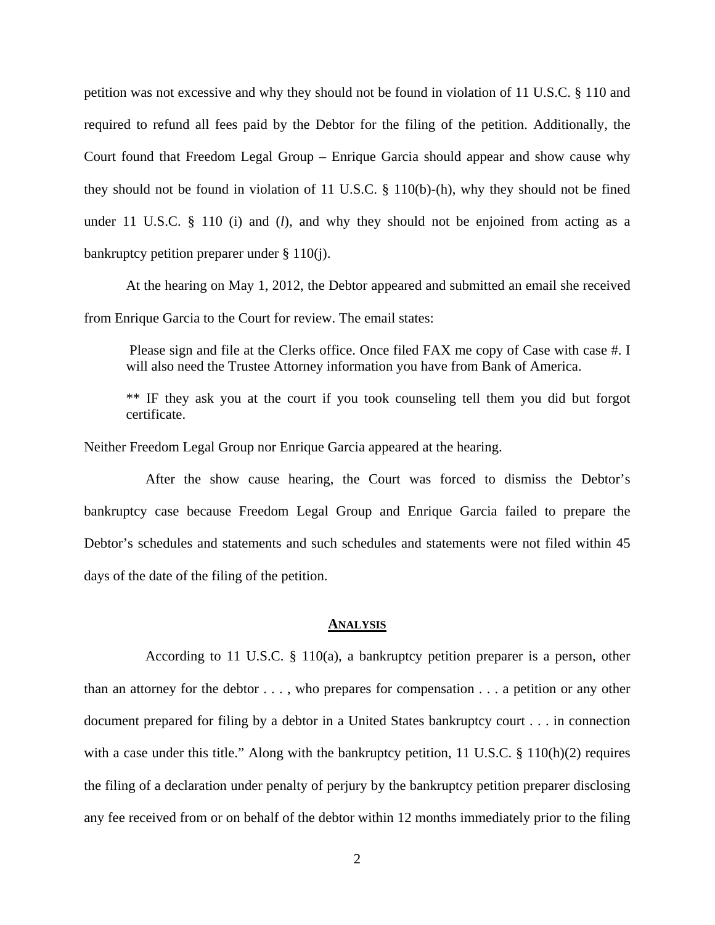petition was not excessive and why they should not be found in violation of 11 U.S.C. § 110 and required to refund all fees paid by the Debtor for the filing of the petition. Additionally, the Court found that Freedom Legal Group – Enrique Garcia should appear and show cause why they should not be found in violation of 11 U.S.C. § 110(b)-(h), why they should not be fined under 11 U.S.C. § 110 (i) and (*l*), and why they should not be enjoined from acting as a bankruptcy petition preparer under § 110(j).

At the hearing on May 1, 2012, the Debtor appeared and submitted an email she received from Enrique Garcia to the Court for review. The email states:

 Please sign and file at the Clerks office. Once filed FAX me copy of Case with case #. I will also need the Trustee Attorney information you have from Bank of America.

\*\* IF they ask you at the court if you took counseling tell them you did but forgot certificate.

Neither Freedom Legal Group nor Enrique Garcia appeared at the hearing.

 After the show cause hearing, the Court was forced to dismiss the Debtor's bankruptcy case because Freedom Legal Group and Enrique Garcia failed to prepare the Debtor's schedules and statements and such schedules and statements were not filed within 45 days of the date of the filing of the petition.

## **ANALYSIS**

 According to 11 U.S.C. § 110(a), a bankruptcy petition preparer is a person, other than an attorney for the debtor . . . , who prepares for compensation . . . a petition or any other document prepared for filing by a debtor in a United States bankruptcy court . . . in connection with a case under this title." Along with the bankruptcy petition, 11 U.S.C. § 110(h)(2) requires the filing of a declaration under penalty of perjury by the bankruptcy petition preparer disclosing any fee received from or on behalf of the debtor within 12 months immediately prior to the filing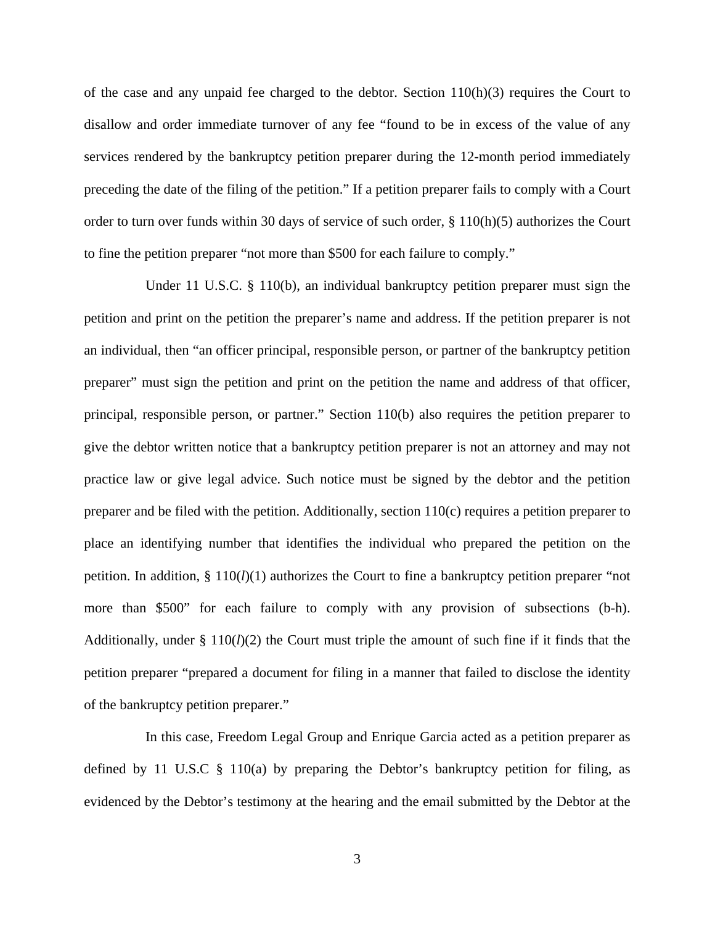of the case and any unpaid fee charged to the debtor. Section  $110(h)(3)$  requires the Court to disallow and order immediate turnover of any fee "found to be in excess of the value of any services rendered by the bankruptcy petition preparer during the 12-month period immediately preceding the date of the filing of the petition." If a petition preparer fails to comply with a Court order to turn over funds within 30 days of service of such order, § 110(h)(5) authorizes the Court to fine the petition preparer "not more than \$500 for each failure to comply."

Under 11 U.S.C. § 110(b), an individual bankruptcy petition preparer must sign the petition and print on the petition the preparer's name and address. If the petition preparer is not an individual, then "an officer principal, responsible person, or partner of the bankruptcy petition preparer" must sign the petition and print on the petition the name and address of that officer, principal, responsible person, or partner." Section 110(b) also requires the petition preparer to give the debtor written notice that a bankruptcy petition preparer is not an attorney and may not practice law or give legal advice. Such notice must be signed by the debtor and the petition preparer and be filed with the petition. Additionally, section 110(c) requires a petition preparer to place an identifying number that identifies the individual who prepared the petition on the petition. In addition,  $\S 110(l)(1)$  authorizes the Court to fine a bankruptcy petition preparer "not more than \$500" for each failure to comply with any provision of subsections (b-h). Additionally, under  $\S 110(l)(2)$  the Court must triple the amount of such fine if it finds that the petition preparer "prepared a document for filing in a manner that failed to disclose the identity of the bankruptcy petition preparer."

 In this case, Freedom Legal Group and Enrique Garcia acted as a petition preparer as defined by 11 U.S.C  $\S$  110(a) by preparing the Debtor's bankruptcy petition for filing, as evidenced by the Debtor's testimony at the hearing and the email submitted by the Debtor at the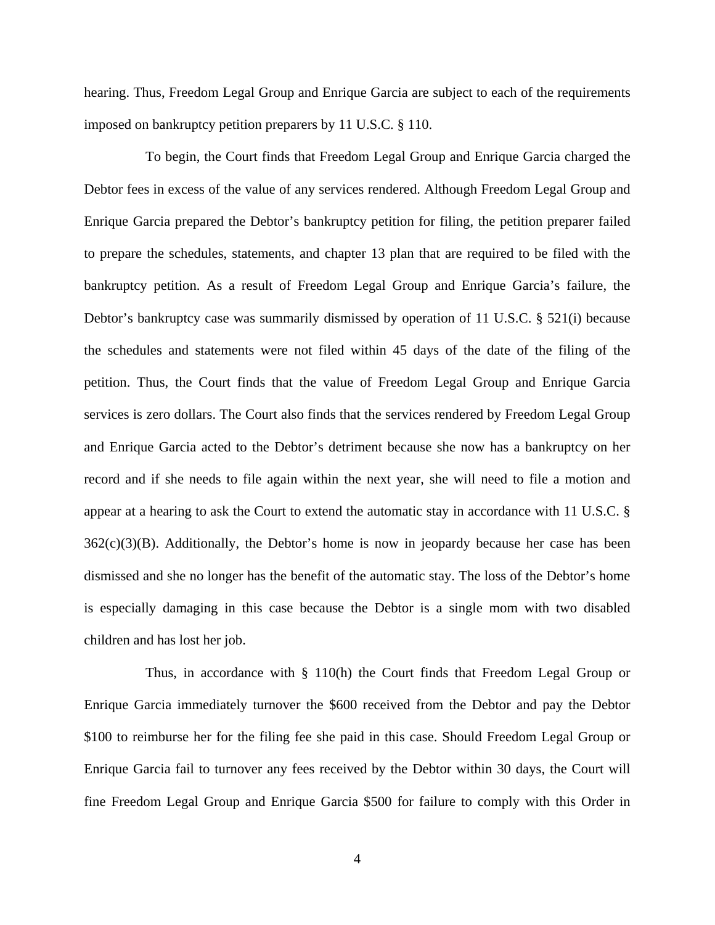hearing. Thus, Freedom Legal Group and Enrique Garcia are subject to each of the requirements imposed on bankruptcy petition preparers by 11 U.S.C. § 110.

 To begin, the Court finds that Freedom Legal Group and Enrique Garcia charged the Debtor fees in excess of the value of any services rendered. Although Freedom Legal Group and Enrique Garcia prepared the Debtor's bankruptcy petition for filing, the petition preparer failed to prepare the schedules, statements, and chapter 13 plan that are required to be filed with the bankruptcy petition. As a result of Freedom Legal Group and Enrique Garcia's failure, the Debtor's bankruptcy case was summarily dismissed by operation of 11 U.S.C. § 521(i) because the schedules and statements were not filed within 45 days of the date of the filing of the petition. Thus, the Court finds that the value of Freedom Legal Group and Enrique Garcia services is zero dollars. The Court also finds that the services rendered by Freedom Legal Group and Enrique Garcia acted to the Debtor's detriment because she now has a bankruptcy on her record and if she needs to file again within the next year, she will need to file a motion and appear at a hearing to ask the Court to extend the automatic stay in accordance with 11 U.S.C. §  $362(c)(3)(B)$ . Additionally, the Debtor's home is now in jeopardy because her case has been dismissed and she no longer has the benefit of the automatic stay. The loss of the Debtor's home is especially damaging in this case because the Debtor is a single mom with two disabled children and has lost her job.

 Thus, in accordance with § 110(h) the Court finds that Freedom Legal Group or Enrique Garcia immediately turnover the \$600 received from the Debtor and pay the Debtor \$100 to reimburse her for the filing fee she paid in this case. Should Freedom Legal Group or Enrique Garcia fail to turnover any fees received by the Debtor within 30 days, the Court will fine Freedom Legal Group and Enrique Garcia \$500 for failure to comply with this Order in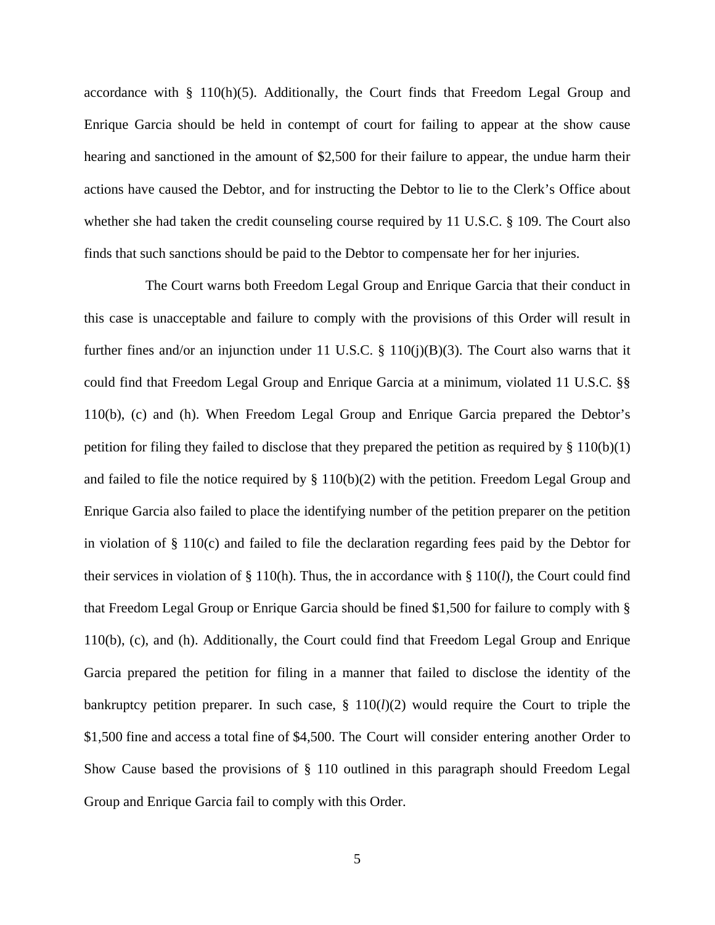accordance with  $\S$  110(h)(5). Additionally, the Court finds that Freedom Legal Group and Enrique Garcia should be held in contempt of court for failing to appear at the show cause hearing and sanctioned in the amount of \$2,500 for their failure to appear, the undue harm their actions have caused the Debtor, and for instructing the Debtor to lie to the Clerk's Office about whether she had taken the credit counseling course required by 11 U.S.C. § 109. The Court also finds that such sanctions should be paid to the Debtor to compensate her for her injuries.

 The Court warns both Freedom Legal Group and Enrique Garcia that their conduct in this case is unacceptable and failure to comply with the provisions of this Order will result in further fines and/or an injunction under 11 U.S.C.  $\S$  110(j)(B)(3). The Court also warns that it could find that Freedom Legal Group and Enrique Garcia at a minimum, violated 11 U.S.C. §§ 110(b), (c) and (h). When Freedom Legal Group and Enrique Garcia prepared the Debtor's petition for filing they failed to disclose that they prepared the petition as required by  $\S 110(b)(1)$ and failed to file the notice required by § 110(b)(2) with the petition. Freedom Legal Group and Enrique Garcia also failed to place the identifying number of the petition preparer on the petition in violation of § 110(c) and failed to file the declaration regarding fees paid by the Debtor for their services in violation of § 110(h). Thus, the in accordance with § 110(*l*), the Court could find that Freedom Legal Group or Enrique Garcia should be fined \$1,500 for failure to comply with § 110(b), (c), and (h). Additionally, the Court could find that Freedom Legal Group and Enrique Garcia prepared the petition for filing in a manner that failed to disclose the identity of the bankruptcy petition preparer. In such case, § 110(*l*)(2) would require the Court to triple the \$1,500 fine and access a total fine of \$4,500. The Court will consider entering another Order to Show Cause based the provisions of § 110 outlined in this paragraph should Freedom Legal Group and Enrique Garcia fail to comply with this Order.